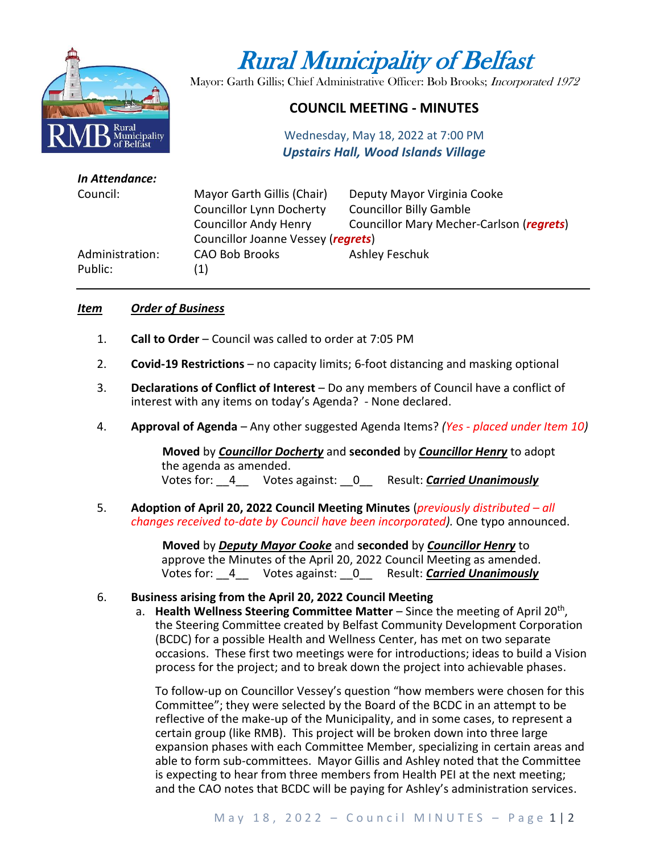

# Rural Municipality of Belfast

Mayor: Garth Gillis; Chief Administrative Officer: Bob Brooks; Incorporated 1972

# **COUNCIL MEETING - MINUTES**

Wednesday, May 18, 2022 at 7:00 PM *Upstairs Hall, Wood Islands Village*

| In Attendance:  |                                    |                                          |
|-----------------|------------------------------------|------------------------------------------|
| Council:        | Mayor Garth Gillis (Chair)         | Deputy Mayor Virginia Cooke              |
|                 | <b>Councillor Lynn Docherty</b>    | <b>Councillor Billy Gamble</b>           |
|                 | <b>Councillor Andy Henry</b>       | Councillor Mary Mecher-Carlson (regrets) |
|                 | Councillor Joanne Vessey (regrets) |                                          |
| Administration: | <b>CAO Bob Brooks</b>              | Ashley Feschuk                           |
| Public:         | (1)                                |                                          |
|                 |                                    |                                          |

#### *Item Order of Business*

- 1. **Call to Order** Council was called to order at 7:05 PM
- 2. **Covid-19 Restrictions**  no capacity limits; 6-foot distancing and masking optional
- 3. **Declarations of Conflict of Interest** Do any members of Council have a conflict of interest with any items on today's Agenda? - None declared.
- 4. **Approval of Agenda** Any other suggested Agenda Items? *(Yes - placed under Item 10)*

**Moved** by *Councillor Docherty* and **seconded** by *Councillor Henry* to adopt the agenda as amended. Votes for: \_\_4\_\_ Votes against: \_\_0\_\_ Result: *Carried Unanimously*

5. **Adoption of April 20, 2022 Council Meeting Minutes** (*previously distributed – all changes received to-date by Council have been incorporated).* One typo announced.

> **Moved** by *Deputy Mayor Cooke* and **seconded** by *Councillor Henry* to approve the Minutes of the April 20, 2022 Council Meeting as amended. Votes for: \_\_4\_\_ Votes against: \_\_0\_\_ Result: *Carried Unanimously*

#### 6. **Business arising from the April 20, 2022 Council Meeting**

a. Health Wellness Steering Committee Matter – Since the meeting of April 20<sup>th</sup>, the Steering Committee created by Belfast Community Development Corporation (BCDC) for a possible Health and Wellness Center, has met on two separate occasions. These first two meetings were for introductions; ideas to build a Vision process for the project; and to break down the project into achievable phases.

To follow-up on Councillor Vessey's question "how members were chosen for this Committee"; they were selected by the Board of the BCDC in an attempt to be reflective of the make-up of the Municipality, and in some cases, to represent a certain group (like RMB). This project will be broken down into three large expansion phases with each Committee Member, specializing in certain areas and able to form sub-committees. Mayor Gillis and Ashley noted that the Committee is expecting to hear from three members from Health PEI at the next meeting; and the CAO notes that BCDC will be paying for Ashley's administration services.